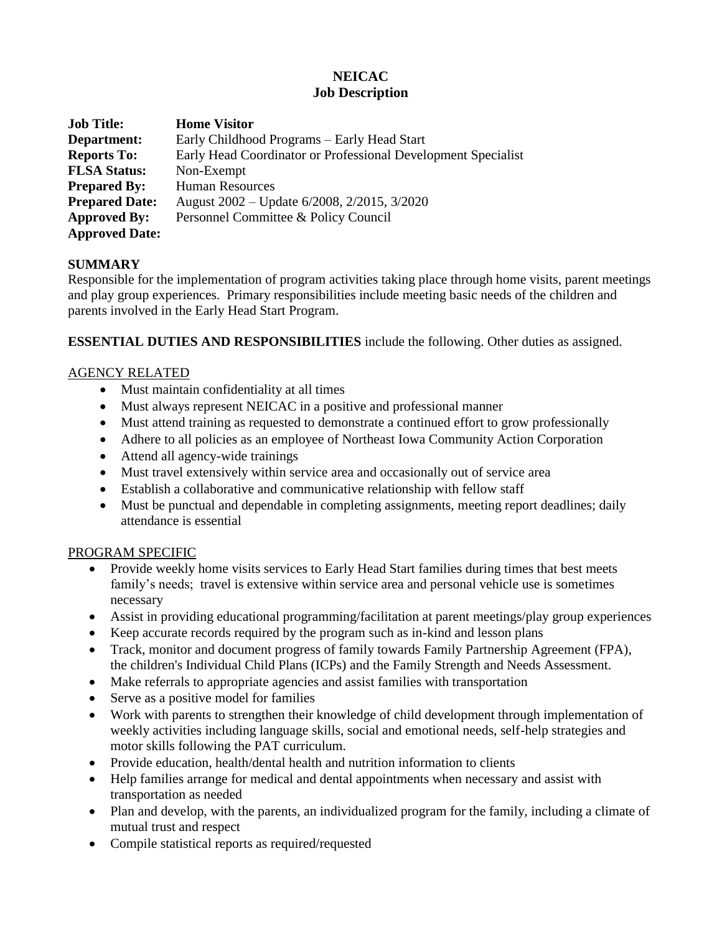# **NEICAC Job Description**

| <b>Job Title:</b>     | <b>Home Visitor</b>                                           |
|-----------------------|---------------------------------------------------------------|
| Department:           | Early Childhood Programs – Early Head Start                   |
| <b>Reports To:</b>    | Early Head Coordinator or Professional Development Specialist |
| <b>FLSA Status:</b>   | Non-Exempt                                                    |
| <b>Prepared By:</b>   | <b>Human Resources</b>                                        |
| <b>Prepared Date:</b> | August 2002 – Update 6/2008, 2/2015, 3/2020                   |
| <b>Approved By:</b>   | Personnel Committee & Policy Council                          |
| <b>Approved Date:</b> |                                                               |

## **SUMMARY**

Responsible for the implementation of program activities taking place through home visits, parent meetings and play group experiences. Primary responsibilities include meeting basic needs of the children and parents involved in the Early Head Start Program.

**ESSENTIAL DUTIES AND RESPONSIBILITIES** include the following. Other duties as assigned.

## AGENCY RELATED

- Must maintain confidentiality at all times
- Must always represent NEICAC in a positive and professional manner
- Must attend training as requested to demonstrate a continued effort to grow professionally
- Adhere to all policies as an employee of Northeast Iowa Community Action Corporation
- Attend all agency-wide trainings
- Must travel extensively within service area and occasionally out of service area
- Establish a collaborative and communicative relationship with fellow staff
- Must be punctual and dependable in completing assignments, meeting report deadlines; daily attendance is essential

## PROGRAM SPECIFIC

- Provide weekly home visits services to Early Head Start families during times that best meets family's needs; travel is extensive within service area and personal vehicle use is sometimes necessary
- Assist in providing educational programming/facilitation at parent meetings/play group experiences
- Keep accurate records required by the program such as in-kind and lesson plans
- Track, monitor and document progress of family towards Family Partnership Agreement (FPA), the children's Individual Child Plans (ICPs) and the Family Strength and Needs Assessment.
- Make referrals to appropriate agencies and assist families with transportation
- Serve as a positive model for families
- Work with parents to strengthen their knowledge of child development through implementation of weekly activities including language skills, social and emotional needs, self-help strategies and motor skills following the PAT curriculum.
- Provide education, health/dental health and nutrition information to clients
- Help families arrange for medical and dental appointments when necessary and assist with transportation as needed
- Plan and develop, with the parents, an individualized program for the family, including a climate of mutual trust and respect
- Compile statistical reports as required/requested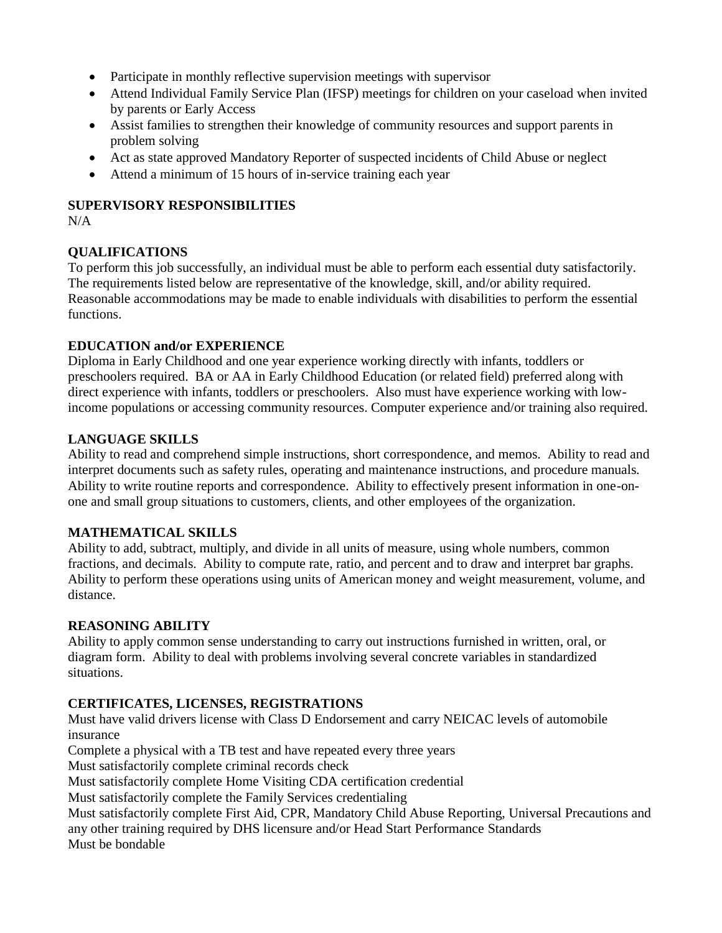- Participate in monthly reflective supervision meetings with supervisor
- Attend Individual Family Service Plan (IFSP) meetings for children on your caseload when invited by parents or Early Access
- Assist families to strengthen their knowledge of community resources and support parents in problem solving
- Act as state approved Mandatory Reporter of suspected incidents of Child Abuse or neglect
- Attend a minimum of 15 hours of in-service training each year

### **SUPERVISORY RESPONSIBILITIES**

 $N/A$ 

## **QUALIFICATIONS**

To perform this job successfully, an individual must be able to perform each essential duty satisfactorily. The requirements listed below are representative of the knowledge, skill, and/or ability required. Reasonable accommodations may be made to enable individuals with disabilities to perform the essential functions.

## **EDUCATION and/or EXPERIENCE**

Diploma in Early Childhood and one year experience working directly with infants, toddlers or preschoolers required. BA or AA in Early Childhood Education (or related field) preferred along with direct experience with infants, toddlers or preschoolers. Also must have experience working with lowincome populations or accessing community resources. Computer experience and/or training also required.

### **LANGUAGE SKILLS**

Ability to read and comprehend simple instructions, short correspondence, and memos. Ability to read and interpret documents such as safety rules, operating and maintenance instructions, and procedure manuals. Ability to write routine reports and correspondence. Ability to effectively present information in one-onone and small group situations to customers, clients, and other employees of the organization.

## **MATHEMATICAL SKILLS**

Ability to add, subtract, multiply, and divide in all units of measure, using whole numbers, common fractions, and decimals. Ability to compute rate, ratio, and percent and to draw and interpret bar graphs. Ability to perform these operations using units of American money and weight measurement, volume, and distance.

## **REASONING ABILITY**

Ability to apply common sense understanding to carry out instructions furnished in written, oral, or diagram form. Ability to deal with problems involving several concrete variables in standardized situations.

## **CERTIFICATES, LICENSES, REGISTRATIONS**

Must have valid drivers license with Class D Endorsement and carry NEICAC levels of automobile insurance

Complete a physical with a TB test and have repeated every three years

Must satisfactorily complete criminal records check

Must satisfactorily complete Home Visiting CDA certification credential

Must satisfactorily complete the Family Services credentialing

Must satisfactorily complete First Aid, CPR, Mandatory Child Abuse Reporting, Universal Precautions and any other training required by DHS licensure and/or Head Start Performance Standards Must be bondable